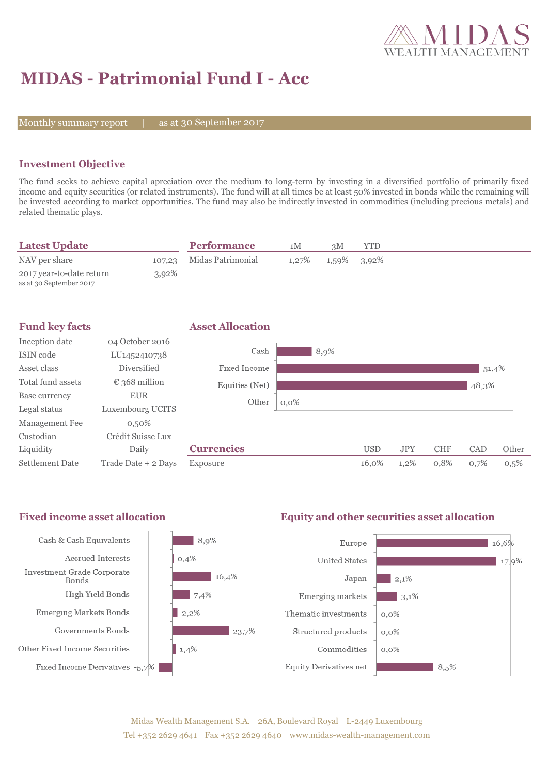

# **MIDAS - Patrimonial Fund I - Acc**

Monthly summary report |

as at 30 September 2017

### **Investment Objective**

The fund seeks to achieve capital apreciation over the medium to long-term by investing in a diversified portfolio of primarily fixed income and equity securities (or related instruments). The fund will at all times be at least 50% invested in bonds while the remaining will be invested according to market opportunities. The fund may also be indirectly invested in commodities (including precious metals) and related thematic plays.

| <b>Latest Update</b>                                |          | <b>Performance</b>       | 1 M      | зM          | YTD |  |  |
|-----------------------------------------------------|----------|--------------------------|----------|-------------|-----|--|--|
| NAV per share                                       |          | 107,23 Midas Patrimonial | $1,27\%$ | 1,59% 3,92% |     |  |  |
| 2017 year-to-date return<br>as at 30 September 2017 | $3.92\%$ |                          |          |             |     |  |  |

| <b>Fund key facts</b>  |                        | <b>Asset Allocation</b> |         |            |            |            |       |       |
|------------------------|------------------------|-------------------------|---------|------------|------------|------------|-------|-------|
| Inception date         | 04 October 2016        |                         |         |            |            |            |       |       |
| ISIN code              | LU1452410738           | Cash                    | 8,9%    |            |            |            |       |       |
| Asset class            | Diversified            | Fixed Income            |         |            |            |            | 51,4% |       |
| Total fund assets      | $\epsilon$ 368 million | Equities (Net)          |         |            |            |            | 48,3% |       |
| Base currency          | <b>EUR</b>             | Other                   | $0,0\%$ |            |            |            |       |       |
| Legal status           | Luxembourg UCITS       |                         |         |            |            |            |       |       |
| Management Fee         | $0,50\%$               |                         |         |            |            |            |       |       |
| Custodian              | Crédit Suisse Lux      |                         |         |            |            |            |       |       |
| Liquidity              | Daily                  | <b>Currencies</b>       |         | <b>USD</b> | <b>JPY</b> | <b>CHF</b> | CAD   | Other |
| <b>Settlement Date</b> | Trade Date + 2 Days    | Exposure                |         | 16,0%      | $1,2\%$    | 0,8%       | 0,7%  | 0,5%  |

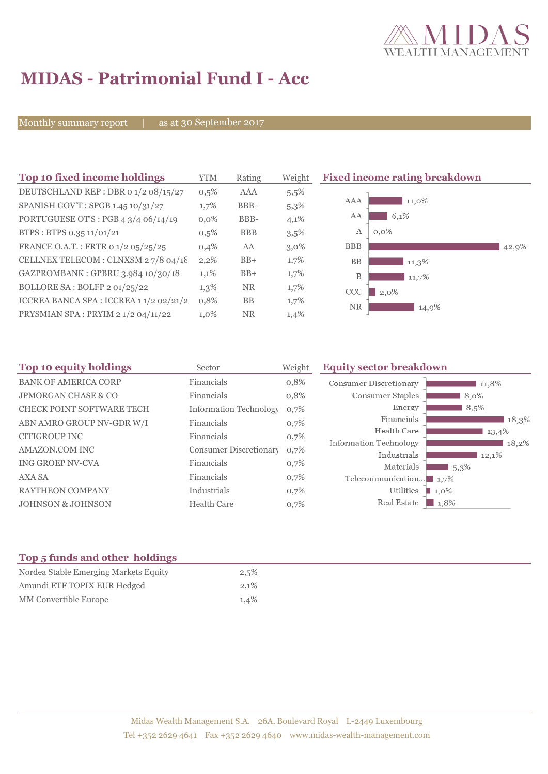

## **MIDAS - Patrimonial Fund I - Acc**

Monthly summary report | as at 30 September 2017

| Top 10 fixed income holdings            | YTM     | Rating     | Weight  | <b>Fixed income rating breakdown</b> |
|-----------------------------------------|---------|------------|---------|--------------------------------------|
| DEUTSCHLAND REP : DBR 0 1/2 08/15/27    | $0,5\%$ | <b>AAA</b> | 5,5%    |                                      |
| SPANISH GOV'T: SPGB 1.45 10/31/27       | 1,7%    | $BBB+$     | 5,3%    | 11,0%<br>AAA                         |
| PORTUGUESE OT'S : PGB $43/406/14/19$    | $0.0\%$ | BBB-       | 4,1%    | AA<br>6,1%                           |
| BTPS: BTPS 0.35 11/01/21                | $0,5\%$ | <b>BBB</b> | 3,5%    | А<br>$0.0\%$                         |
| FRANCE O.A.T.: FRTR 0 1/2 05/25/25      | 0,4%    | AA         | $3,0\%$ | <b>BBB</b><br>42,9%                  |
| CELLNEX TELECOM : CLNXSM 27/8 04/18     | $2,2\%$ | $BB+$      | $1,7\%$ | <b>BB</b><br>$11,3\%$                |
| GAZPROMBANK: GPBRU 3.984 10/30/18       | 1,1%    | $BB+$      | 1,7%    | B<br>11,7%                           |
| BOLLORE SA : BOLFP 2 01/25/22           | $1,3\%$ | NR.        | $1,7\%$ | <b>CCC</b><br>$2,0\%$                |
| ICCREA BANCA SPA : ICCREA 1 1/2 02/21/2 | 0,8%    | BB         | 1,7%    | <b>NR</b><br>14,9%                   |
| PRYSMIAN SPA : PRYIM 2 1/2 04/11/22     | 1,0%    | <b>NR</b>  | 1,4%    |                                      |

| Top 10 equity holdings           | Sector                        | Weight | <b>Equity sector breakdown</b>        |                     |
|----------------------------------|-------------------------------|--------|---------------------------------------|---------------------|
| <b>BANK OF AMERICA CORP</b>      | Financials                    | 0,8%   | Consumer Discretionary                | 11,8%               |
| <b>JPMORGAN CHASE &amp; CO</b>   | Financials                    | 0,8%   | Consumer Staples                      | 8,0%                |
| <b>CHECK POINT SOFTWARE TECH</b> | <b>Information Technology</b> | 0,7%   | Energy                                | 8,5%                |
| ABN AMRO GROUP NV-GDR W/I        | Financials                    | 0,7%   | Financials                            | 18,3%               |
| <b>CITIGROUP INC</b>             | Financials                    | 0,7%   | Health Care                           | $13,4\%$            |
| AMAZON.COM INC                   | <b>Consumer Discretionary</b> | 0,7%   | Information Technology<br>Industrials | 18,2%<br>12,1%      |
| <b>ING GROEP NV-CVA</b>          | Financials                    | 0,7%   | Materials                             | $1,5,3\%$           |
| <b>AXA SA</b>                    | Financials                    | 0,7%   | Telecommunication $\blacksquare$ 1,7% |                     |
| <b>RAYTHEON COMPANY</b>          | Industrials                   | 0,7%   | Utilities                             | $1,0\%$             |
| <b>JOHNSON &amp; JOHNSON</b>     | <b>Health Care</b>            | 0,7%   | Real Estate                           | $\blacksquare$ 1,8% |

### **Top 5 funds and other holdings**

| Nordea Stable Emerging Markets Equity | 2,5% |
|---------------------------------------|------|
| Amundi ETF TOPIX EUR Hedged           | 2.1% |
| <b>MM</b> Convertible Europe          | 1,4% |